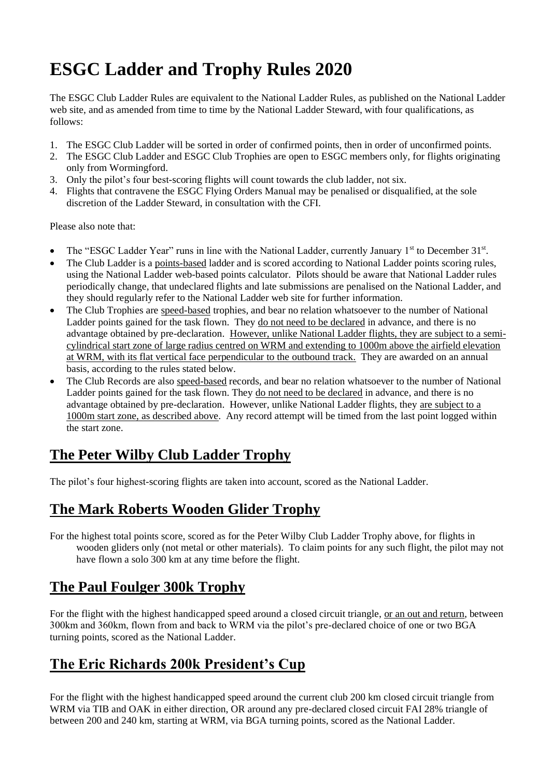# **ESGC Ladder and Trophy Rules 2020**

The ESGC Club Ladder Rules are equivalent to the National Ladder Rules, as published on the National Ladder web site, and as amended from time to time by the National Ladder Steward, with four qualifications, as follows:

- 1. The ESGC Club Ladder will be sorted in order of confirmed points, then in order of unconfirmed points.
- 2. The ESGC Club Ladder and ESGC Club Trophies are open to ESGC members only, for flights originating only from Wormingford.
- 3. Only the pilot's four best-scoring flights will count towards the club ladder, not six.
- 4. Flights that contravene the ESGC Flying Orders Manual may be penalised or disqualified, at the sole discretion of the Ladder Steward, in consultation with the CFI.

Please also note that:

- The "ESGC Ladder Year" runs in line with the National Ladder, currently January 1<sup>st</sup> to December 31<sup>st</sup>.
- The Club Ladder is a points-based ladder and is scored according to National Ladder points scoring rules, using the National Ladder web-based points calculator. Pilots should be aware that National Ladder rules periodically change, that undeclared flights and late submissions are penalised on the National Ladder, and they should regularly refer to the National Ladder web site for further information.
- The Club Trophies are speed-based trophies, and bear no relation whatsoever to the number of National Ladder points gained for the task flown. They do not need to be declared in advance, and there is no advantage obtained by pre-declaration. However, unlike National Ladder flights, they are subject to a semicylindrical start zone of large radius centred on WRM and extending to 1000m above the airfield elevation at WRM, with its flat vertical face perpendicular to the outbound track. They are awarded on an annual basis, according to the rules stated below.
- The Club Records are also speed-based records, and bear no relation whatsoever to the number of National Ladder points gained for the task flown. They do not need to be declared in advance, and there is no advantage obtained by pre-declaration. However, unlike National Ladder flights, they are subject to a 1000m start zone, as described above. Any record attempt will be timed from the last point logged within the start zone.

### **The Peter Wilby Club Ladder Trophy**

The pilot's four highest-scoring flights are taken into account, scored as the National Ladder.

#### **The Mark Roberts Wooden Glider Trophy**

For the highest total points score, scored as for the Peter Wilby Club Ladder Trophy above, for flights in wooden gliders only (not metal or other materials). To claim points for any such flight, the pilot may not have flown a solo 300 km at any time before the flight.

### **The Paul Foulger 300k Trophy**

For the flight with the highest handicapped speed around a closed circuit triangle, or an out and return, between 300km and 360km, flown from and back to WRM via the pilot's pre-declared choice of one or two BGA turning points, scored as the National Ladder.

### **The Eric Richards 200k President's Cup**

For the flight with the highest handicapped speed around the current club 200 km closed circuit triangle from WRM via TIB and OAK in either direction, OR around any pre-declared closed circuit FAI 28% triangle of between 200 and 240 km, starting at WRM, via BGA turning points, scored as the National Ladder.